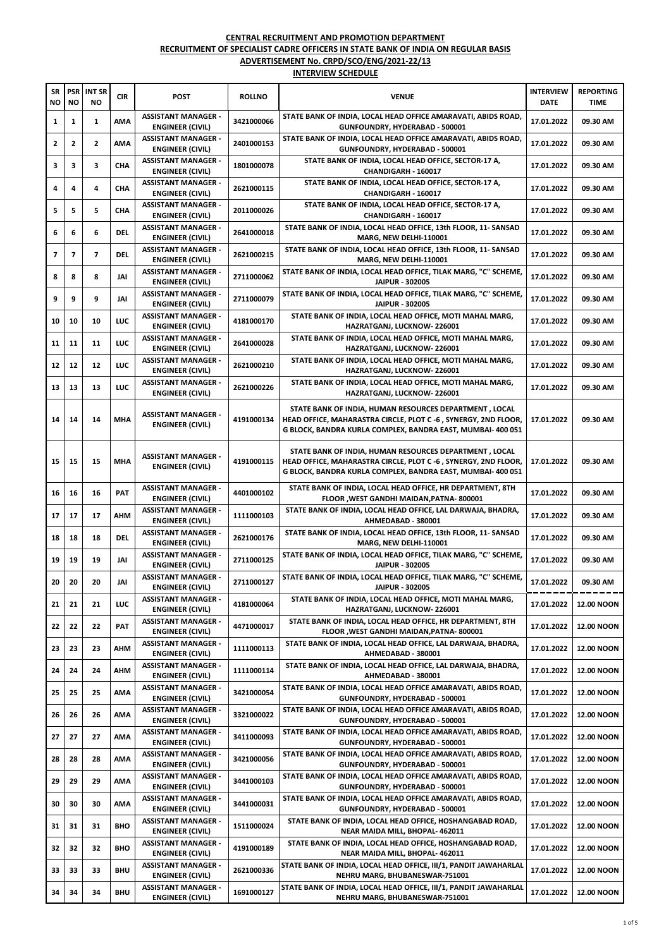| <b>SR</b><br>NO | <b>PSR</b><br><b>NO</b> | <b>INT SR</b><br>NO | <b>CIR</b> | <b>POST</b>                                           | <b>ROLLNO</b> | <b>VENUE</b>                                                                                                                                                                            | <b>INTERVIEW</b><br><b>DATE</b> | <b>REPORTING</b><br>TIME |
|-----------------|-------------------------|---------------------|------------|-------------------------------------------------------|---------------|-----------------------------------------------------------------------------------------------------------------------------------------------------------------------------------------|---------------------------------|--------------------------|
| 1               | 1                       | 1                   | AMA        | <b>ASSISTANT MANAGER -</b><br><b>ENGINEER (CIVIL)</b> | 3421000066    | STATE BANK OF INDIA, LOCAL HEAD OFFICE AMARAVATI, ABIDS ROAD,<br>GUNFOUNDRY, HYDERABAD - 500001                                                                                         | 17.01.2022                      | 09.30 AM                 |
| 2               | 2                       | 2                   | AMA        | <b>ASSISTANT MANAGER -</b><br>ENGINEER (CIVIL)        | 2401000153    | STATE BANK OF INDIA, LOCAL HEAD OFFICE AMARAVATI, ABIDS ROAD,<br>GUNFOUNDRY, HYDERABAD - 500001                                                                                         | 17.01.2022                      | 09.30 AM                 |
| 3               | 3                       | 3                   | CHA        | <b>ASSISTANT MANAGER -</b><br>ENGINEER (CIVIL)        | 1801000078    | STATE BANK OF INDIA, LOCAL HEAD OFFICE, SECTOR-17 A,<br>CHANDIGARH - 160017                                                                                                             | 17.01.2022                      | 09.30 AM                 |
| 4               | 4                       | 4                   | CHA        | <b>ASSISTANT MANAGER -</b><br><b>ENGINEER (CIVIL)</b> | 2621000115    | STATE BANK OF INDIA, LOCAL HEAD OFFICE, SECTOR-17 A,<br>CHANDIGARH - 160017                                                                                                             | 17.01.2022                      | 09.30 AM                 |
| 5               | 5                       | 5                   | CHA        | <b>ASSISTANT MANAGER -</b><br>ENGINEER (CIVIL)        | 2011000026    | STATE BANK OF INDIA, LOCAL HEAD OFFICE, SECTOR-17 A,<br>CHANDIGARH - 160017                                                                                                             | 17.01.2022                      | 09.30 AM                 |
| 6               | 6                       | 6                   | <b>DEL</b> | <b>ASSISTANT MANAGER -</b><br>ENGINEER (CIVIL)        | 2641000018    | STATE BANK OF INDIA, LOCAL HEAD OFFICE, 13th FLOOR, 11- SANSAD<br>MARG, NEW DELHI-110001                                                                                                | 17.01.2022                      | 09.30 AM                 |
| 7               | 7                       | 7                   | <b>DEL</b> | <b>ASSISTANT MANAGER -</b><br><b>ENGINEER (CIVIL)</b> | 2621000215    | STATE BANK OF INDIA, LOCAL HEAD OFFICE, 13th FLOOR, 11- SANSAD<br>MARG, NEW DELHI-110001                                                                                                | 17.01.2022                      | 09.30 AM                 |
| 8               | 8                       | 8                   | JAI        | <b>ASSISTANT MANAGER -</b><br><b>ENGINEER (CIVIL)</b> | 2711000062    | STATE BANK OF INDIA, LOCAL HEAD OFFICE, TILAK MARG, "C" SCHEME,<br>JAIPUR - 302005                                                                                                      | 17.01.2022                      | 09.30 AM                 |
| 9               | 9                       | 9                   | JAI        | <b>ASSISTANT MANAGER -</b><br>ENGINEER (CIVIL)        | 2711000079    | STATE BANK OF INDIA, LOCAL HEAD OFFICE, TILAK MARG, "C" SCHEME,<br>JAIPUR - 302005                                                                                                      | 17.01.2022                      | 09.30 AM                 |
| 10              | 10                      | 10                  | LUC        | <b>ASSISTANT MANAGER -</b><br>ENGINEER (CIVIL)        | 4181000170    | STATE BANK OF INDIA, LOCAL HEAD OFFICE, MOTI MAHAL MARG,<br>HAZRATGANJ, LUCKNOW-226001                                                                                                  | 17.01.2022                      | 09.30 AM                 |
| 11              | 11                      | 11                  | LUC        | <b>ASSISTANT MANAGER -</b><br><b>ENGINEER (CIVIL)</b> | 2641000028    | STATE BANK OF INDIA, LOCAL HEAD OFFICE, MOTI MAHAL MARG,<br>HAZRATGANJ, LUCKNOW-226001                                                                                                  | 17.01.2022                      | 09.30 AM                 |
| 12              | 12                      | 12                  | LUC        | <b>ASSISTANT MANAGER -</b><br><b>ENGINEER (CIVIL)</b> | 2621000210    | STATE BANK OF INDIA, LOCAL HEAD OFFICE, MOTI MAHAL MARG,<br>HAZRATGANJ, LUCKNOW-226001                                                                                                  | 17.01.2022                      | 09.30 AM                 |
| 13              | 13                      | 13                  | LUC        | <b>ASSISTANT MANAGER -</b><br><b>ENGINEER (CIVIL)</b> | 2621000226    | STATE BANK OF INDIA, LOCAL HEAD OFFICE, MOTI MAHAL MARG,<br>HAZRATGANJ, LUCKNOW-226001                                                                                                  | 17.01.2022                      | 09.30 AM                 |
| 14              | 14                      | 14                  | MHA        | <b>ASSISTANT MANAGER -</b><br><b>ENGINEER (CIVIL)</b> | 4191000134    | STATE BANK OF INDIA, HUMAN RESOURCES DEPARTMENT, LOCAL<br>HEAD OFFICE, MAHARASTRA CIRCLE, PLOT C -6, SYNERGY, 2ND FLOOR,<br>G BLOCK, BANDRA KURLA COMPLEX, BANDRA EAST, MUMBAI- 400 051 | 17.01.2022                      | 09.30 AM                 |
| 15              | 15                      | 15                  | <b>MHA</b> | <b>ASSISTANT MANAGER -</b><br><b>ENGINEER (CIVIL)</b> | 4191000115    | STATE BANK OF INDIA, HUMAN RESOURCES DEPARTMENT, LOCAL<br>HEAD OFFICE, MAHARASTRA CIRCLE, PLOT C -6, SYNERGY, 2ND FLOOR,<br>G BLOCK, BANDRA KURLA COMPLEX, BANDRA EAST, MUMBAI- 400 051 | 17.01.2022                      | 09.30 AM                 |
| 16              | 16                      | 16                  | PAT        | <b>ASSISTANT MANAGER -</b><br><b>ENGINEER (CIVIL)</b> | 4401000102    | STATE BANK OF INDIA, LOCAL HEAD OFFICE, HR DEPARTMENT, 8TH<br>FLOOR , WEST GANDHI MAIDAN, PATNA-800001                                                                                  | 17.01.2022                      | 09.30 AM                 |
| 17              | 17                      | 17                  | AHM        | <b>ASSISTANT MANAGER -</b><br><b>ENGINEER (CIVIL)</b> | 1111000103    | STATE BANK OF INDIA, LOCAL HEAD OFFICE, LAL DARWAJA, BHADRA,<br>AHMEDABAD - 380001                                                                                                      | 17.01.2022                      | 09.30 AM                 |
| 18              | 18                      | 18                  | <b>DEL</b> | <b>ASSISTANT MANAGER -</b><br>ENGINEER (CIVIL)        | 2621000176    | STATE BANK OF INDIA, LOCAL HEAD OFFICE, 13th FLOOR, 11- SANSAD<br>MARG, NEW DELHI-110001                                                                                                | 17.01.2022                      | 09.30 AM                 |
| 19              | 19                      | 19                  | JAI        | <b>ASSISTANT MANAGER -</b><br><b>ENGINEER (CIVIL)</b> | 2711000125    | STATE BANK OF INDIA, LOCAL HEAD OFFICE, TILAK MARG, "C" SCHEME,<br>JAIPUR - 302005                                                                                                      | 17.01.2022                      | 09.30 AM                 |
| 20              | 20                      | 20                  | JAI        | <b>ASSISTANT MANAGER -</b><br><b>ENGINEER (CIVIL)</b> | 2711000127    | STATE BANK OF INDIA, LOCAL HEAD OFFICE, TILAK MARG, "C" SCHEME,<br><b>JAIPUR - 302005</b>                                                                                               | 17.01.2022                      | 09.30 AM                 |
| 21              | 21                      | 21                  | LUC        | <b>ASSISTANT MANAGER -</b><br>ENGINEER (CIVIL)        | 4181000064    | STATE BANK OF INDIA, LOCAL HEAD OFFICE, MOTI MAHAL MARG,<br>HAZRATGANJ, LUCKNOW-226001                                                                                                  | 17.01.2022                      | <b>12.00 NOON</b>        |
| 22              | 22                      | 22                  | PAT        | <b>ASSISTANT MANAGER -</b><br>ENGINEER (CIVIL)        | 4471000017    | STATE BANK OF INDIA, LOCAL HEAD OFFICE, HR DEPARTMENT, 8TH<br>FLOOR , WEST GANDHI MAIDAN, PATNA-800001                                                                                  | 17.01.2022                      | <b>12.00 NOON</b>        |
| 23              | 23                      | 23                  | AHM        | <b>ASSISTANT MANAGER -</b><br><b>ENGINEER (CIVIL)</b> | 1111000113    | STATE BANK OF INDIA, LOCAL HEAD OFFICE, LAL DARWAJA, BHADRA,<br>AHMEDABAD - 380001                                                                                                      | 17.01.2022                      | <b>12.00 NOON</b>        |
| 24              | 24                      | 24                  | AHM        | <b>ASSISTANT MANAGER -</b><br>ENGINEER (CIVIL)        | 1111000114    | STATE BANK OF INDIA, LOCAL HEAD OFFICE, LAL DARWAJA, BHADRA,<br>AHMEDABAD - 380001                                                                                                      | 17.01.2022                      | <b>12.00 NOON</b>        |
| 25              | 25                      | 25                  | AMA        | <b>ASSISTANT MANAGER -</b><br>ENGINEER (CIVIL)        | 3421000054    | STATE BANK OF INDIA, LOCAL HEAD OFFICE AMARAVATI, ABIDS ROAD,<br>GUNFOUNDRY, HYDERABAD - 500001                                                                                         | 17.01.2022                      | <b>12.00 NOON</b>        |
| 26              | 26                      | 26                  | AMA        | <b>ASSISTANT MANAGER -</b><br>ENGINEER (CIVIL)        | 3321000022    | STATE BANK OF INDIA, LOCAL HEAD OFFICE AMARAVATI, ABIDS ROAD,<br>GUNFOUNDRY, HYDERABAD - 500001                                                                                         | 17.01.2022                      | <b>12.00 NOON</b>        |
| 27              | 27                      | 27                  | AMA        | <b>ASSISTANT MANAGER -</b><br>ENGINEER (CIVIL)        | 3411000093    | STATE BANK OF INDIA, LOCAL HEAD OFFICE AMARAVATI, ABIDS ROAD,<br>GUNFOUNDRY, HYDERABAD - 500001                                                                                         | 17.01.2022                      | <b>12.00 NOON</b>        |
| 28              | 28                      | 28                  | AMA        | <b>ASSISTANT MANAGER -</b><br>ENGINEER (CIVIL)        | 3421000056    | STATE BANK OF INDIA, LOCAL HEAD OFFICE AMARAVATI, ABIDS ROAD,<br>GUNFOUNDRY, HYDERABAD - 500001                                                                                         | 17.01.2022                      | <b>12.00 NOON</b>        |
| 29              | 29                      | 29                  | AMA        | <b>ASSISTANT MANAGER -</b><br><b>ENGINEER (CIVIL)</b> | 3441000103    | STATE BANK OF INDIA, LOCAL HEAD OFFICE AMARAVATI, ABIDS ROAD,<br>GUNFOUNDRY, HYDERABAD - 500001                                                                                         | 17.01.2022                      | <b>12.00 NOON</b>        |
| 30              | 30                      | 30                  | AMA        | <b>ASSISTANT MANAGER -</b><br>ENGINEER (CIVIL)        | 3441000031    | STATE BANK OF INDIA, LOCAL HEAD OFFICE AMARAVATI, ABIDS ROAD,<br>GUNFOUNDRY, HYDERABAD - 500001                                                                                         | 17.01.2022                      | <b>12.00 NOON</b>        |
| 31              | 31                      | 31                  | <b>BHO</b> | <b>ASSISTANT MANAGER -</b><br>ENGINEER (CIVIL)        | 1511000024    | STATE BANK OF INDIA, LOCAL HEAD OFFICE, HOSHANGABAD ROAD,<br>NEAR MAIDA MILL, BHOPAL- 462011                                                                                            | 17.01.2022                      | <b>12.00 NOON</b>        |
| 32              | 32                      | 32                  | <b>BHO</b> | <b>ASSISTANT MANAGER -</b><br>ENGINEER (CIVIL)        | 4191000189    | STATE BANK OF INDIA, LOCAL HEAD OFFICE, HOSHANGABAD ROAD,<br>NEAR MAIDA MILL, BHOPAL- 462011                                                                                            | 17.01.2022                      | <b>12.00 NOON</b>        |
| 33              | 33                      | 33                  | <b>BHU</b> | <b>ASSISTANT MANAGER -</b><br>ENGINEER (CIVIL)        | 2621000336    | STATE BANK OF INDIA, LOCAL HEAD OFFICE, III/1, PANDIT JAWAHARLAL<br>NEHRU MARG, BHUBANESWAR-751001                                                                                      | 17.01.2022                      | <b>12.00 NOON</b>        |
| 34              | 34                      | 34                  | BHU        | <b>ASSISTANT MANAGER -</b><br><b>ENGINEER (CIVIL)</b> | 1691000127    | STATE BANK OF INDIA, LOCAL HEAD OFFICE, III/1, PANDIT JAWAHARLAL<br>NEHRU MARG, BHUBANESWAR-751001                                                                                      | 17.01.2022                      | <b>12.00 NOON</b>        |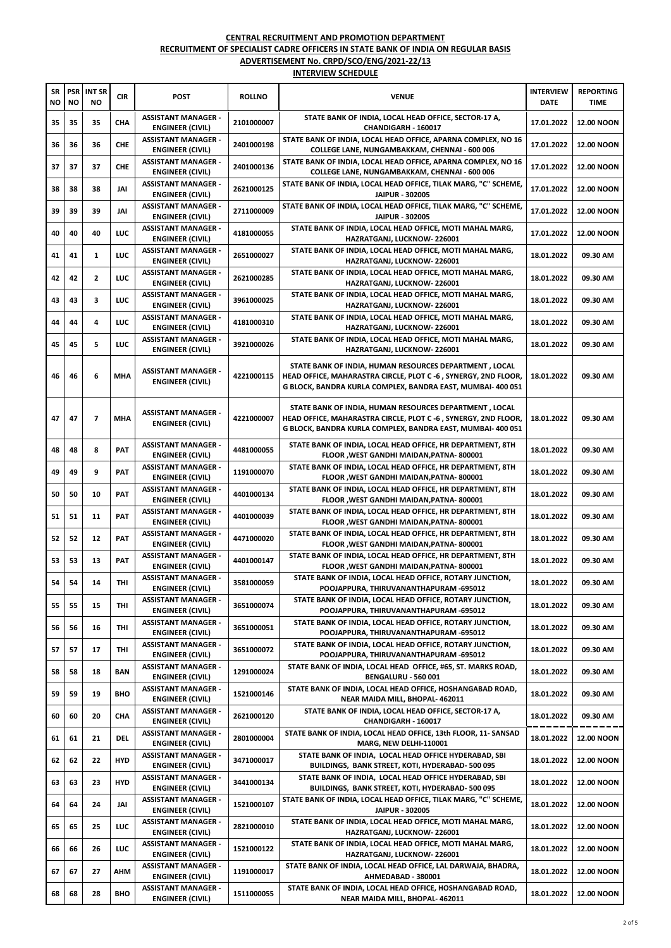| SR<br>NΟ | <b>PSR</b><br>NO | <b>INT SR</b><br>ΝO | <b>CIR</b> | <b>POST</b>                                           | <b>ROLLNO</b> | <b>VENUE</b>                                                                                                                                                                            | <b>INTERVIEW</b><br>DATE | <b>REPORTING</b><br>TIME |
|----------|------------------|---------------------|------------|-------------------------------------------------------|---------------|-----------------------------------------------------------------------------------------------------------------------------------------------------------------------------------------|--------------------------|--------------------------|
| 35       | 35               | 35                  | CHA        | <b>ASSISTANT MANAGER -</b><br>ENGINEER (CIVIL)        | 2101000007    | STATE BANK OF INDIA, LOCAL HEAD OFFICE, SECTOR-17 A,<br>CHANDIGARH - 160017                                                                                                             | 17.01.2022               | <b>12.00 NOON</b>        |
| 36       | 36               | 36                  | <b>CHE</b> | <b>ASSISTANT MANAGER -</b><br>ENGINEER (CIVIL)        | 2401000198    | STATE BANK OF INDIA, LOCAL HEAD OFFICE, APARNA COMPLEX, NO 16<br>COLLEGE LANE, NUNGAMBAKKAM, CHENNAI - 600 006                                                                          | 17.01.2022               | <b>12.00 NOON</b>        |
| 37       | 37               | 37                  | <b>CHE</b> | <b>ASSISTANT MANAGER -</b><br><b>ENGINEER (CIVIL)</b> | 2401000136    | STATE BANK OF INDIA, LOCAL HEAD OFFICE, APARNA COMPLEX, NO 16<br>COLLEGE LANE, NUNGAMBAKKAM, CHENNAI - 600 006                                                                          | 17.01.2022               | <b>12.00 NOON</b>        |
| 38       | 38               | 38                  | JAI        | <b>ASSISTANT MANAGER -</b><br><b>ENGINEER (CIVIL)</b> | 2621000125    | STATE BANK OF INDIA, LOCAL HEAD OFFICE, TILAK MARG, "C" SCHEME,<br>JAIPUR - 302005                                                                                                      | 17.01.2022               | <b>12.00 NOON</b>        |
| 39       | 39               | 39                  | JAI        | <b>ASSISTANT MANAGER -</b><br><b>ENGINEER (CIVIL)</b> | 2711000009    | STATE BANK OF INDIA, LOCAL HEAD OFFICE, TILAK MARG, "C" SCHEME,<br>JAIPUR - 302005                                                                                                      | 17.01.2022               | <b>12.00 NOON</b>        |
| 40       | 40               | 40                  | LUC        | <b>ASSISTANT MANAGER -</b><br><b>ENGINEER (CIVIL)</b> | 4181000055    | STATE BANK OF INDIA, LOCAL HEAD OFFICE, MOTI MAHAL MARG,<br>HAZRATGANJ, LUCKNOW-226001                                                                                                  | 17.01.2022               | <b>12.00 NOON</b>        |
| 41       | 41               | 1                   | LUC        | <b>ASSISTANT MANAGER -</b><br><b>ENGINEER (CIVIL)</b> | 2651000027    | STATE BANK OF INDIA, LOCAL HEAD OFFICE, MOTI MAHAL MARG,<br>HAZRATGANJ, LUCKNOW-226001                                                                                                  | 18.01.2022               | 09.30 AM                 |
| 42       | 42               | $\mathbf{2}$        | LUC        | <b>ASSISTANT MANAGER -</b><br><b>ENGINEER (CIVIL)</b> | 2621000285    | STATE BANK OF INDIA, LOCAL HEAD OFFICE, MOTI MAHAL MARG,<br>HAZRATGANJ, LUCKNOW-226001                                                                                                  | 18.01.2022               | 09.30 AM                 |
| 43       | 43               | 3                   | LUC        | <b>ASSISTANT MANAGER -</b><br>ENGINEER (CIVIL)        | 3961000025    | STATE BANK OF INDIA, LOCAL HEAD OFFICE, MOTI MAHAL MARG,<br>HAZRATGANJ, LUCKNOW-226001                                                                                                  | 18.01.2022               | 09.30 AM                 |
| 44       | 44               | 4                   | LUC        | <b>ASSISTANT MANAGER -</b><br><b>ENGINEER (CIVIL)</b> | 4181000310    | STATE BANK OF INDIA, LOCAL HEAD OFFICE, MOTI MAHAL MARG,<br><b>HAZRATGANJ, LUCKNOW-226001</b>                                                                                           | 18.01.2022               | 09.30 AM                 |
| 45       | 45               | 5                   | LUC        | <b>ASSISTANT MANAGER -</b><br><b>ENGINEER (CIVIL)</b> | 3921000026    | STATE BANK OF INDIA, LOCAL HEAD OFFICE, MOTI MAHAL MARG,<br>HAZRATGANJ, LUCKNOW-226001                                                                                                  | 18.01.2022               | 09.30 AM                 |
| 46       | 46               | 6                   | MHA        | <b>ASSISTANT MANAGER -</b><br><b>ENGINEER (CIVIL)</b> | 4221000115    | STATE BANK OF INDIA, HUMAN RESOURCES DEPARTMENT, LOCAL<br>HEAD OFFICE, MAHARASTRA CIRCLE, PLOT C -6, SYNERGY, 2ND FLOOR,<br>G BLOCK, BANDRA KURLA COMPLEX, BANDRA EAST, MUMBAI- 400 051 | 18.01.2022               | 09.30 AM                 |
| 47       | 47               | $\overline{ }$      | MHA        | <b>ASSISTANT MANAGER -</b><br><b>ENGINEER (CIVIL)</b> | 4221000007    | STATE BANK OF INDIA, HUMAN RESOURCES DEPARTMENT, LOCAL<br>HEAD OFFICE, MAHARASTRA CIRCLE, PLOT C -6, SYNERGY, 2ND FLOOR,<br>G BLOCK, BANDRA KURLA COMPLEX, BANDRA EAST, MUMBAI- 400 051 | 18.01.2022               | 09.30 AM                 |
| 48       | 48               | 8                   | PAT        | <b>ASSISTANT MANAGER -</b><br><b>ENGINEER (CIVIL)</b> | 4481000055    | STATE BANK OF INDIA, LOCAL HEAD OFFICE, HR DEPARTMENT, 8TH<br>FLOOR , WEST GANDHI MAIDAN, PATNA-800001                                                                                  | 18.01.2022               | 09.30 AM                 |
| 49       | 49               | 9                   | PAT        | <b>ASSISTANT MANAGER -</b><br>ENGINEER (CIVIL)        | 1191000070    | STATE BANK OF INDIA, LOCAL HEAD OFFICE, HR DEPARTMENT, 8TH<br>FLOOR , WEST GANDHI MAIDAN, PATNA-800001                                                                                  | 18.01.2022               | 09.30 AM                 |
| 50       | 50               | 10                  | PAT        | <b>ASSISTANT MANAGER -</b><br><b>ENGINEER (CIVIL)</b> | 4401000134    | STATE BANK OF INDIA, LOCAL HEAD OFFICE, HR DEPARTMENT, 8TH<br>FLOOR , WEST GANDHI MAIDAN, PATNA-800001                                                                                  | 18.01.2022               | 09.30 AM                 |
| 51       | 51               | 11                  | <b>PAT</b> | <b>ASSISTANT MANAGER -</b><br><b>ENGINEER (CIVIL)</b> | 4401000039    | STATE BANK OF INDIA, LOCAL HEAD OFFICE, HR DEPARTMENT, 8TH<br>FLOOR , WEST GANDHI MAIDAN, PATNA-800001                                                                                  | 18.01.2022               | 09.30 AM                 |
| 52       | 52               | 12                  | PAT        | <b>ASSISTANT MANAGER -</b><br><b>ENGINEER (CIVIL)</b> | 4471000020    | STATE BANK OF INDIA, LOCAL HEAD OFFICE, HR DEPARTMENT, 8TH<br>FLOOR , WEST GANDHI MAIDAN, PATNA-800001                                                                                  | 18.01.2022               | 09.30 AM                 |
| 53       | 53               | 13                  | PAT        | <b>ASSISTANT MANAGER -</b><br><b>ENGINEER (CIVIL)</b> | 4401000147    | STATE BANK OF INDIA, LOCAL HEAD OFFICE, HR DEPARTMENT, 8TH<br>FLOOR , WEST GANDHI MAIDAN, PATNA-800001                                                                                  | 18.01.2022               | 09.30 AM                 |
| 54       | 54               | 14                  | THI        | <b>ASSISTANT MANAGER -</b><br>ENGINEER (CIVIL)        | 3581000059    | STATE BANK OF INDIA, LOCAL HEAD OFFICE, ROTARY JUNCTION,<br>POOJAPPURA, THIRUVANANTHAPURAM -695012                                                                                      | 18.01.2022               | 09.30 AM                 |
| 55       | 55               | 15                  | THI        | <b>ASSISTANT MANAGER -</b><br>ENGINEER (CIVIL)        | 3651000074    | STATE BANK OF INDIA, LOCAL HEAD OFFICE, ROTARY JUNCTION,<br>POOJAPPURA, THIRUVANANTHAPURAM -695012                                                                                      | 18.01.2022               | 09.30 AM                 |
| 56       | 56               | 16                  | THI        | <b>ASSISTANT MANAGER -</b><br>ENGINEER (CIVIL)        | 3651000051    | STATE BANK OF INDIA, LOCAL HEAD OFFICE, ROTARY JUNCTION,<br>POOJAPPURA, THIRUVANANTHAPURAM -695012                                                                                      | 18.01.2022               | 09.30 AM                 |
| 57       | 57               | 17                  | THI        | <b>ASSISTANT MANAGER -</b><br>ENGINEER (CIVIL)        | 3651000072    | STATE BANK OF INDIA, LOCAL HEAD OFFICE, ROTARY JUNCTION,<br>POOJAPPURA, THIRUVANANTHAPURAM -695012                                                                                      | 18.01.2022               | 09.30 AM                 |
| 58       | 58               | 18                  | <b>BAN</b> | <b>ASSISTANT MANAGER -</b><br>ENGINEER (CIVIL)        | 1291000024    | STATE BANK OF INDIA, LOCAL HEAD OFFICE, #65, ST. MARKS ROAD,<br>BENGALURU - 560 001                                                                                                     | 18.01.2022               | 09.30 AM                 |
| 59       | 59               | 19                  | BHO        | <b>ASSISTANT MANAGER -</b><br><b>ENGINEER (CIVIL)</b> | 1521000146    | STATE BANK OF INDIA, LOCAL HEAD OFFICE, HOSHANGABAD ROAD,<br>NEAR MAIDA MILL, BHOPAL- 462011                                                                                            | 18.01.2022               | 09.30 AM                 |
| 60       | 60               | 20                  | CHA        | <b>ASSISTANT MANAGER -</b><br><b>ENGINEER (CIVIL)</b> | 2621000120    | STATE BANK OF INDIA, LOCAL HEAD OFFICE, SECTOR-17 A,<br>CHANDIGARH - 160017                                                                                                             | 18.01.2022               | 09.30 AM                 |
| 61       | 61               | 21                  | <b>DEL</b> | <b>ASSISTANT MANAGER -</b><br>ENGINEER (CIVIL)        | 2801000004    | STATE BANK OF INDIA, LOCAL HEAD OFFICE, 13th FLOOR, 11- SANSAD<br>MARG, NEW DELHI-110001                                                                                                | 18.01.2022               | <b>12.00 NOON</b>        |
| 62       | 62               | 22                  | <b>HYD</b> | <b>ASSISTANT MANAGER -</b><br><b>ENGINEER (CIVIL)</b> | 3471000017    | STATE BANK OF INDIA, LOCAL HEAD OFFICE HYDERABAD, SBI<br>BUILDINGS, BANK STREET, KOTI, HYDERABAD- 500 095                                                                               | 18.01.2022               | <b>12.00 NOON</b>        |
| 63       | 63               | 23                  | <b>HYD</b> | <b>ASSISTANT MANAGER -</b><br><b>ENGINEER (CIVIL)</b> | 3441000134    | STATE BANK OF INDIA, LOCAL HEAD OFFICE HYDERABAD, SBI<br>BUILDINGS, BANK STREET, KOTI, HYDERABAD- 500 095                                                                               | 18.01.2022               | <b>12.00 NOON</b>        |
| 64       | 64               | 24                  | JAI        | <b>ASSISTANT MANAGER -</b><br>ENGINEER (CIVIL)        | 1521000107    | STATE BANK OF INDIA, LOCAL HEAD OFFICE, TILAK MARG, "C" SCHEME,<br>JAIPUR - 302005                                                                                                      | 18.01.2022               | <b>12.00 NOON</b>        |
| 65       | 65               | 25                  | LUC        | <b>ASSISTANT MANAGER -</b><br>ENGINEER (CIVIL)        | 2821000010    | STATE BANK OF INDIA, LOCAL HEAD OFFICE, MOTI MAHAL MARG,<br>HAZRATGANJ, LUCKNOW-226001                                                                                                  | 18.01.2022               | <b>12.00 NOON</b>        |
| 66       | 66               | 26                  | LUC        | <b>ASSISTANT MANAGER -</b><br>ENGINEER (CIVIL)        | 1521000122    | STATE BANK OF INDIA, LOCAL HEAD OFFICE, MOTI MAHAL MARG,<br>HAZRATGANJ, LUCKNOW-226001                                                                                                  | 18.01.2022               | <b>12.00 NOON</b>        |
| 67       | 67               | 27                  | AHM        | <b>ASSISTANT MANAGER -</b><br>ENGINEER (CIVIL)        | 1191000017    | STATE BANK OF INDIA, LOCAL HEAD OFFICE, LAL DARWAJA, BHADRA,<br>AHMEDABAD - 380001                                                                                                      | 18.01.2022               | <b>12.00 NOON</b>        |
| 68       | 68               | 28                  | BHO        | <b>ASSISTANT MANAGER -</b><br><b>ENGINEER (CIVIL)</b> | 1511000055    | STATE BANK OF INDIA, LOCAL HEAD OFFICE, HOSHANGABAD ROAD,<br>NEAR MAIDA MILL, BHOPAL- 462011                                                                                            | 18.01.2022               | <b>12.00 NOON</b>        |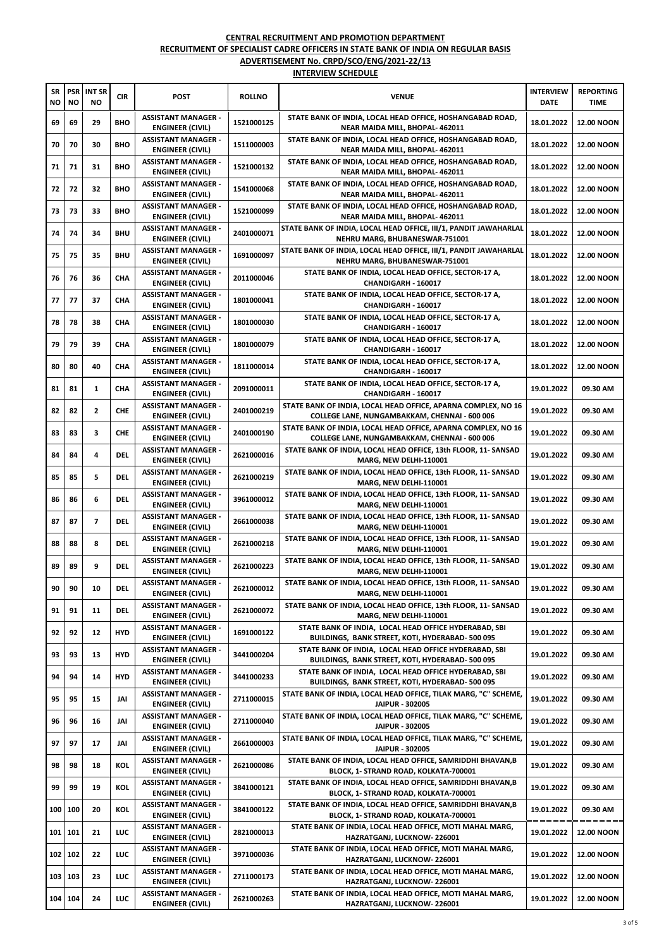| SR<br>NO | <b>PSR</b><br>NO | <b>INT SR</b><br>NO | <b>CIR</b> | <b>POST</b>                                           | <b>ROLLNO</b> | <b>VENUE</b>                                                                                                   | <b>INTERVIEW</b><br><b>DATE</b> | <b>REPORTING</b><br>TIME |
|----------|------------------|---------------------|------------|-------------------------------------------------------|---------------|----------------------------------------------------------------------------------------------------------------|---------------------------------|--------------------------|
| 69       | 69               | 29                  | <b>BHO</b> | <b>ASSISTANT MANAGER -</b><br>ENGINEER (CIVIL)        | 1521000125    | STATE BANK OF INDIA, LOCAL HEAD OFFICE, HOSHANGABAD ROAD,<br>NEAR MAIDA MILL, BHOPAL- 462011                   | 18.01.2022                      | <b>12.00 NOON</b>        |
| 70       | 70               | 30                  | <b>BHO</b> | <b>ASSISTANT MANAGER -</b><br><b>ENGINEER (CIVIL)</b> | 1511000003    | STATE BANK OF INDIA, LOCAL HEAD OFFICE, HOSHANGABAD ROAD,<br>NEAR MAIDA MILL, BHOPAL- 462011                   | 18.01.2022                      | <b>12.00 NOON</b>        |
| 71       | 71               | 31                  | <b>BHO</b> | <b>ASSISTANT MANAGER -</b><br><b>ENGINEER (CIVIL)</b> | 1521000132    | STATE BANK OF INDIA, LOCAL HEAD OFFICE, HOSHANGABAD ROAD,<br>NEAR MAIDA MILL, BHOPAL- 462011                   | 18.01.2022                      | <b>12.00 NOON</b>        |
| 72       | 72               | 32                  | <b>BHO</b> | <b>ASSISTANT MANAGER -</b><br><b>ENGINEER (CIVIL)</b> | 1541000068    | STATE BANK OF INDIA, LOCAL HEAD OFFICE, HOSHANGABAD ROAD,<br>NEAR MAIDA MILL, BHOPAL- 462011                   | 18.01.2022                      | <b>12.00 NOON</b>        |
| 73       | 73               | 33                  | <b>BHO</b> | <b>ASSISTANT MANAGER -</b><br><b>ENGINEER (CIVIL)</b> | 1521000099    | STATE BANK OF INDIA, LOCAL HEAD OFFICE, HOSHANGABAD ROAD,<br>NEAR MAIDA MILL, BHOPAL- 462011                   | 18.01.2022                      | <b>12.00 NOON</b>        |
| 74       | 74               | 34                  | <b>BHU</b> | <b>ASSISTANT MANAGER -</b><br><b>ENGINEER (CIVIL)</b> | 2401000071    | STATE BANK OF INDIA, LOCAL HEAD OFFICE, III/1, PANDIT JAWAHARLAL<br>NEHRU MARG, BHUBANESWAR-751001             | 18.01.2022                      | <b>12.00 NOON</b>        |
| 75       | 75               | 35                  | <b>BHU</b> | <b>ASSISTANT MANAGER -</b><br><b>ENGINEER (CIVIL)</b> | 1691000097    | STATE BANK OF INDIA, LOCAL HEAD OFFICE, III/1, PANDIT JAWAHARLAL<br>NEHRU MARG, BHUBANESWAR-751001             | 18.01.2022                      | <b>12.00 NOON</b>        |
| 76       | 76               | 36                  | CHA        | <b>ASSISTANT MANAGER -</b><br><b>ENGINEER (CIVIL)</b> | 2011000046    | STATE BANK OF INDIA, LOCAL HEAD OFFICE, SECTOR-17 A,<br>CHANDIGARH - 160017                                    | 18.01.2022                      | <b>12.00 NOON</b>        |
| 77       | 77               | 37                  | CHA        | <b>ASSISTANT MANAGER -</b><br>ENGINEER (CIVIL)        | 1801000041    | STATE BANK OF INDIA, LOCAL HEAD OFFICE, SECTOR-17 A,<br>CHANDIGARH - 160017                                    | 18.01.2022                      | <b>12.00 NOON</b>        |
| 78       | 78               | 38                  | CHA        | <b>ASSISTANT MANAGER -</b><br><b>ENGINEER (CIVIL)</b> | 1801000030    | STATE BANK OF INDIA, LOCAL HEAD OFFICE, SECTOR-17 A,<br>CHANDIGARH - 160017                                    | 18.01.2022                      | <b>12.00 NOON</b>        |
| 79       | 79               | 39                  | CHA        | <b>ASSISTANT MANAGER -</b><br><b>ENGINEER (CIVIL)</b> | 1801000079    | STATE BANK OF INDIA, LOCAL HEAD OFFICE, SECTOR-17 A,<br>CHANDIGARH - 160017                                    | 18.01.2022                      | <b>12.00 NOON</b>        |
| 80       | 80               | 40                  | CHA        | <b>ASSISTANT MANAGER -</b><br>ENGINEER (CIVIL)        | 1811000014    | STATE BANK OF INDIA, LOCAL HEAD OFFICE, SECTOR-17 A,<br>CHANDIGARH - 160017                                    | 18.01.2022                      | <b>12.00 NOON</b>        |
| 81       | 81               | 1                   | CHA        | <b>ASSISTANT MANAGER -</b><br><b>ENGINEER (CIVIL)</b> | 2091000011    | STATE BANK OF INDIA, LOCAL HEAD OFFICE, SECTOR-17 A,<br>CHANDIGARH - 160017                                    | 19.01.2022                      | 09.30 AM                 |
| 82       | 82               | 2                   | <b>CHE</b> | <b>ASSISTANT MANAGER -</b><br>ENGINEER (CIVIL)        | 2401000219    | STATE BANK OF INDIA, LOCAL HEAD OFFICE, APARNA COMPLEX, NO 16<br>COLLEGE LANE, NUNGAMBAKKAM, CHENNAI - 600 006 | 19.01.2022                      | 09.30 AM                 |
| 83       | 83               | 3                   | <b>CHE</b> | <b>ASSISTANT MANAGER -</b><br><b>ENGINEER (CIVIL)</b> | 2401000190    | STATE BANK OF INDIA, LOCAL HEAD OFFICE, APARNA COMPLEX, NO 16<br>COLLEGE LANE, NUNGAMBAKKAM, CHENNAI - 600 006 | 19.01.2022                      | 09.30 AM                 |
| 84       | 84               | 4                   | <b>DEL</b> | <b>ASSISTANT MANAGER -</b><br><b>ENGINEER (CIVIL)</b> | 2621000016    | STATE BANK OF INDIA, LOCAL HEAD OFFICE, 13th FLOOR, 11- SANSAD<br>MARG, NEW DELHI-110001                       | 19.01.2022                      | 09.30 AM                 |
| 85       | 85               | 5                   | del        | <b>ASSISTANT MANAGER -</b><br><b>ENGINEER (CIVIL)</b> | 2621000219    | STATE BANK OF INDIA, LOCAL HEAD OFFICE, 13th FLOOR, 11- SANSAD<br>MARG, NEW DELHI-110001                       | 19.01.2022                      | 09.30 AM                 |
| 86       | 86               | 6                   | DEL        | <b>ASSISTANT MANAGER -</b><br>ENGINEER (CIVIL)        | 3961000012    | STATE BANK OF INDIA, LOCAL HEAD OFFICE, 13th FLOOR, 11- SANSAD<br><b>MARG, NEW DELHI-110001</b>                | 19.01.2022                      | 09.30 AM                 |
| 87       | 87               | 7                   | DEL        | <b>ASSISTANT MANAGER -</b><br><b>ENGINEER (CIVIL)</b> | 2661000038    | STATE BANK OF INDIA, LOCAL HEAD OFFICE, 13th FLOOR, 11- SANSAD<br>MARG, NEW DELHI-110001                       | 19.01.2022                      | 09.30 AM                 |
| 88       | 88               | 8                   | <b>DEL</b> | <b>ASSISTANT MANAGER -</b><br>ENGINEER (CIVIL)        | 2621000218    | STATE BANK OF INDIA, LOCAL HEAD OFFICE, 13th FLOOR, 11- SANSAD<br>MARG, NEW DELHI-110001                       | 19.01.2022                      | 09.30 AM                 |
| 89       | 89               | 9                   | <b>DEL</b> | <b>ASSISTANT MANAGER -</b><br><b>ENGINEER (CIVIL)</b> | 2621000223    | STATE BANK OF INDIA, LOCAL HEAD OFFICE, 13th FLOOR, 11- SANSAD<br><b>MARG, NEW DELHI-110001</b>                | 19.01.2022                      | 09.30 AM                 |
| 90       | 90               | 10                  | <b>DEL</b> | <b>ASSISTANT MANAGER -</b><br><b>ENGINEER (CIVIL)</b> | 2621000012    | STATE BANK OF INDIA, LOCAL HEAD OFFICE, 13th FLOOR, 11- SANSAD<br>MARG, NEW DELHI-110001                       | 19.01.2022                      | 09.30 AM                 |
| 91       | 91               | 11                  | del        | <b>ASSISTANT MANAGER -</b><br><b>ENGINEER (CIVIL)</b> | 2621000072    | STATE BANK OF INDIA, LOCAL HEAD OFFICE, 13th FLOOR, 11- SANSAD<br>MARG, NEW DELHI-110001                       | 19.01.2022                      | 09.30 AM                 |
| 92       | 92               | 12                  | <b>HYD</b> | <b>ASSISTANT MANAGER -</b><br>ENGINEER (CIVIL)        | 1691000122    | STATE BANK OF INDIA, LOCAL HEAD OFFICE HYDERABAD, SBI<br>BUILDINGS, BANK STREET, KOTI, HYDERABAD- 500 095      | 19.01.2022                      | 09.30 AM                 |
| 93       | 93               | 13                  | <b>HYD</b> | <b>ASSISTANT MANAGER -</b><br><b>ENGINEER (CIVIL)</b> | 3441000204    | STATE BANK OF INDIA, LOCAL HEAD OFFICE HYDERABAD, SBI<br>BUILDINGS, BANK STREET, KOTI, HYDERABAD- 500 095      | 19.01.2022                      | 09.30 AM                 |
| 94       | 94               | 14                  | HYD        | <b>ASSISTANT MANAGER -</b><br>ENGINEER (CIVIL)        | 3441000233    | STATE BANK OF INDIA, LOCAL HEAD OFFICE HYDERABAD, SBI<br>BUILDINGS, BANK STREET, KOTI, HYDERABAD- 500 095      | 19.01.2022                      | 09.30 AM                 |
| 95       | 95               | 15                  | JAI        | <b>ASSISTANT MANAGER -</b><br><b>ENGINEER (CIVIL)</b> | 2711000015    | STATE BANK OF INDIA, LOCAL HEAD OFFICE, TILAK MARG, "C" SCHEME,<br>JAIPUR - 302005                             | 19.01.2022                      | 09.30 AM                 |
| 96       | 96               | 16                  | JAI        | <b>ASSISTANT MANAGER -</b><br><b>ENGINEER (CIVIL)</b> | 2711000040    | STATE BANK OF INDIA, LOCAL HEAD OFFICE, TILAK MARG, "C" SCHEME,<br>JAIPUR - 302005                             | 19.01.2022                      | 09.30 AM                 |
| 97       | 97               | 17                  | JAI        | <b>ASSISTANT MANAGER -</b><br><b>ENGINEER (CIVIL)</b> | 2661000003    | STATE BANK OF INDIA, LOCAL HEAD OFFICE, TILAK MARG, "C" SCHEME,<br>JAIPUR - 302005                             | 19.01.2022                      | 09.30 AM                 |
| 98       | 98               | 18                  | KOL        | <b>ASSISTANT MANAGER -</b><br>ENGINEER (CIVIL)        | 2621000086    | STATE BANK OF INDIA, LOCAL HEAD OFFICE, SAMRIDDHI BHAVAN,B<br>BLOCK, 1- STRAND ROAD, KOLKATA-700001            | 19.01.2022                      | 09.30 AM                 |
| 99       | 99               | 19                  | KOL        | <b>ASSISTANT MANAGER -</b><br><b>ENGINEER (CIVIL)</b> | 3841000121    | STATE BANK OF INDIA, LOCAL HEAD OFFICE, SAMRIDDHI BHAVAN,B<br>BLOCK, 1- STRAND ROAD, KOLKATA-700001            | 19.01.2022                      | 09.30 AM                 |
| 100      | 100              | 20                  | KOL        | <b>ASSISTANT MANAGER -</b><br>ENGINEER (CIVIL)        | 3841000122    | STATE BANK OF INDIA, LOCAL HEAD OFFICE, SAMRIDDHI BHAVAN,B<br>BLOCK, 1- STRAND ROAD, KOLKATA-700001            | 19.01.2022                      | 09.30 AM                 |
| 101 101  |                  | 21                  | LUC        | <b>ASSISTANT MANAGER -</b><br>ENGINEER (CIVIL)        | 2821000013    | STATE BANK OF INDIA, LOCAL HEAD OFFICE, MOTI MAHAL MARG,<br>HAZRATGANJ, LUCKNOW-226001                         | 19.01.2022                      | <b>12.00 NOON</b>        |
| 102 102  |                  | 22                  | LUC        | <b>ASSISTANT MANAGER -</b><br>ENGINEER (CIVIL)        | 3971000036    | STATE BANK OF INDIA, LOCAL HEAD OFFICE, MOTI MAHAL MARG,<br>HAZRATGANJ, LUCKNOW-226001                         | 19.01.2022                      | <b>12.00 NOON</b>        |
| 103 103  |                  | 23                  | LUC        | <b>ASSISTANT MANAGER -</b><br><b>ENGINEER (CIVIL)</b> | 2711000173    | STATE BANK OF INDIA, LOCAL HEAD OFFICE, MOTI MAHAL MARG,<br>HAZRATGANJ, LUCKNOW-226001                         | 19.01.2022                      | <b>12.00 NOON</b>        |
|          | 104 104          | 24                  | LUC.       | <b>ASSISTANT MANAGER -</b><br><b>ENGINEER (CIVIL)</b> | 2621000263    | STATE BANK OF INDIA, LOCAL HEAD OFFICE, MOTI MAHAL MARG,<br>HAZRATGANJ, LUCKNOW-226001                         | 19.01.2022                      | <b>12.00 NOON</b>        |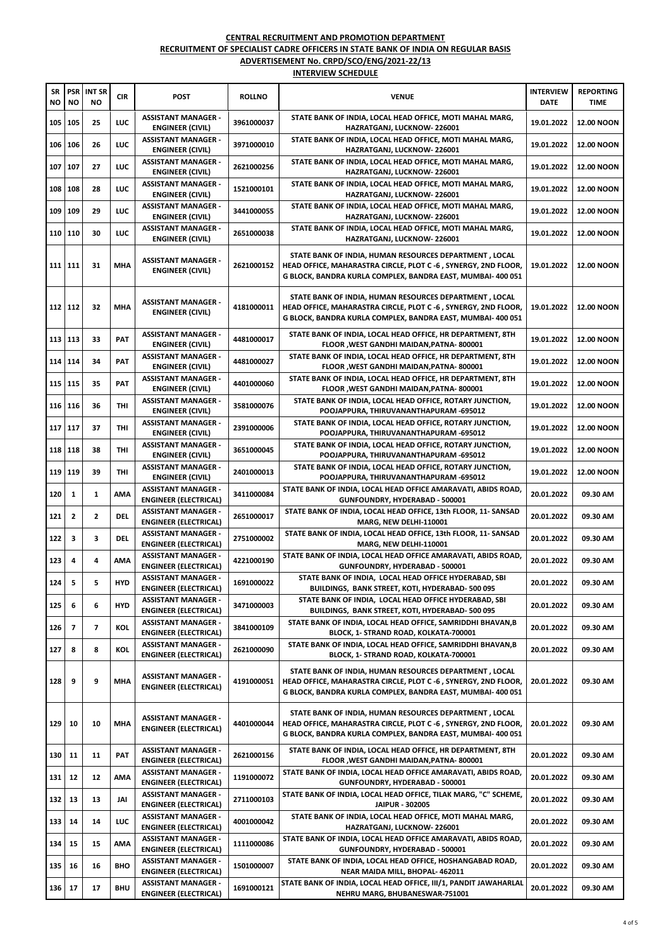| <b>SR</b><br>NO | <b>PSR</b><br>NO | <b>INT SR</b><br><b>NO</b> | <b>CIR</b> | <b>POST</b>                                                | <b>ROLLNO</b> | <b>VENUE</b>                                                                                                                                                                            | <b>INTERVIEW</b><br><b>DATE</b> | <b>REPORTING</b><br>TIME |
|-----------------|------------------|----------------------------|------------|------------------------------------------------------------|---------------|-----------------------------------------------------------------------------------------------------------------------------------------------------------------------------------------|---------------------------------|--------------------------|
| 105             | 105              | 25                         | LUC        | <b>ASSISTANT MANAGER -</b><br>ENGINEER (CIVIL)             | 3961000037    | STATE BANK OF INDIA, LOCAL HEAD OFFICE, MOTI MAHAL MARG,<br>HAZRATGANJ, LUCKNOW-226001                                                                                                  | 19.01.2022                      | <b>12.00 NOON</b>        |
| 106             | 106              | 26                         | LUC        | <b>ASSISTANT MANAGER -</b><br><b>ENGINEER (CIVIL)</b>      | 3971000010    | STATE BANK OF INDIA, LOCAL HEAD OFFICE, MOTI MAHAL MARG,<br>HAZRATGANJ, LUCKNOW-226001                                                                                                  | 19.01.2022                      | <b>12.00 NOON</b>        |
| 107             | 107              | 27                         | LUC        | <b>ASSISTANT MANAGER -</b><br><b>ENGINEER (CIVIL)</b>      | 2621000256    | STATE BANK OF INDIA, LOCAL HEAD OFFICE, MOTI MAHAL MARG,<br>HAZRATGANJ, LUCKNOW-226001                                                                                                  | 19.01.2022                      | <b>12.00 NOON</b>        |
| 108             | 108              | 28                         | LUC        | <b>ASSISTANT MANAGER -</b><br>ENGINEER (CIVIL)             | 1521000101    | STATE BANK OF INDIA, LOCAL HEAD OFFICE, MOTI MAHAL MARG,<br>HAZRATGANJ, LUCKNOW-226001                                                                                                  | 19.01.2022                      | <b>12.00 NOON</b>        |
| 109             | 109              | 29                         | LUC        | <b>ASSISTANT MANAGER -</b><br><b>ENGINEER (CIVIL)</b>      | 3441000055    | STATE BANK OF INDIA, LOCAL HEAD OFFICE, MOTI MAHAL MARG,<br>HAZRATGANJ, LUCKNOW-226001                                                                                                  | 19.01.2022                      | <b>12.00 NOON</b>        |
| 110 110         |                  | 30                         | LUC        | <b>ASSISTANT MANAGER -</b><br><b>ENGINEER (CIVIL)</b>      | 2651000038    | STATE BANK OF INDIA, LOCAL HEAD OFFICE, MOTI MAHAL MARG,<br>HAZRATGANJ, LUCKNOW-226001                                                                                                  | 19.01.2022                      | <b>12.00 NOON</b>        |
| 111 111         |                  | 31                         | <b>MHA</b> | <b>ASSISTANT MANAGER -</b><br><b>ENGINEER (CIVIL)</b>      | 2621000152    | STATE BANK OF INDIA, HUMAN RESOURCES DEPARTMENT, LOCAL<br>HEAD OFFICE, MAHARASTRA CIRCLE, PLOT C -6, SYNERGY, 2ND FLOOR,<br>G BLOCK, BANDRA KURLA COMPLEX, BANDRA EAST, MUMBAI- 400 051 | 19.01.2022                      | <b>12.00 NOON</b>        |
| 112 112         |                  | 32                         | MHA        | <b>ASSISTANT MANAGER -</b><br><b>ENGINEER (CIVIL)</b>      | 4181000011    | STATE BANK OF INDIA, HUMAN RESOURCES DEPARTMENT, LOCAL<br>HEAD OFFICE, MAHARASTRA CIRCLE, PLOT C -6, SYNERGY, 2ND FLOOR,<br>G BLOCK, BANDRA KURLA COMPLEX, BANDRA EAST, MUMBAI- 400 051 | 19.01.2022                      | <b>12.00 NOON</b>        |
| 113 113         |                  | 33                         | PAT        | <b>ASSISTANT MANAGER -</b><br>ENGINEER (CIVIL)             | 4481000017    | STATE BANK OF INDIA, LOCAL HEAD OFFICE, HR DEPARTMENT, 8TH<br>FLOOR , WEST GANDHI MAIDAN, PATNA-800001                                                                                  | 19.01.2022                      | <b>12.00 NOON</b>        |
| 114             | 114              | 34                         | PAT        | <b>ASSISTANT MANAGER -</b><br><b>ENGINEER (CIVIL)</b>      | 4481000027    | STATE BANK OF INDIA, LOCAL HEAD OFFICE, HR DEPARTMENT, 8TH<br>FLOOR , WEST GANDHI MAIDAN, PATNA-800001                                                                                  | 19.01.2022                      | <b>12.00 NOON</b>        |
| 115 115         |                  | 35                         | PAT        | <b>ASSISTANT MANAGER -</b><br>ENGINEER (CIVIL)             | 4401000060    | STATE BANK OF INDIA, LOCAL HEAD OFFICE, HR DEPARTMENT, 8TH<br>FLOOR , WEST GANDHI MAIDAN, PATNA-800001                                                                                  | 19.01.2022                      | <b>12.00 NOON</b>        |
| 116 116         |                  | 36                         | THI        | <b>ASSISTANT MANAGER -</b><br><b>ENGINEER (CIVIL)</b>      | 3581000076    | STATE BANK OF INDIA, LOCAL HEAD OFFICE, ROTARY JUNCTION,<br>POOJAPPURA, THIRUVANANTHAPURAM -695012                                                                                      | 19.01.2022                      | <b>12.00 NOON</b>        |
| 117             | 117              | 37                         | THI        | <b>ASSISTANT MANAGER -</b><br><b>ENGINEER (CIVIL)</b>      | 2391000006    | STATE BANK OF INDIA, LOCAL HEAD OFFICE, ROTARY JUNCTION,<br>POOJAPPURA, THIRUVANANTHAPURAM -695012                                                                                      | 19.01.2022                      | <b>12.00 NOON</b>        |
| 118 118         |                  | 38                         | THI        | <b>ASSISTANT MANAGER -</b><br><b>ENGINEER (CIVIL)</b>      | 3651000045    | STATE BANK OF INDIA, LOCAL HEAD OFFICE, ROTARY JUNCTION,<br>POOJAPPURA, THIRUVANANTHAPURAM -695012                                                                                      | 19.01.2022                      | <b>12.00 NOON</b>        |
| 119             | 119              | 39                         | THI        | <b>ASSISTANT MANAGER -</b><br>ENGINEER (CIVIL)             | 2401000013    | STATE BANK OF INDIA, LOCAL HEAD OFFICE, ROTARY JUNCTION,<br>POOJAPPURA, THIRUVANANTHAPURAM -695012                                                                                      | 19.01.2022                      | <b>12.00 NOON</b>        |
| 120             | 1                | 1                          | AMA        | <b>ASSISTANT MANAGER -</b><br><b>ENGINEER (ELECTRICAL)</b> | 3411000084    | STATE BANK OF INDIA, LOCAL HEAD OFFICE AMARAVATI, ABIDS ROAD,<br>GUNFOUNDRY, HYDERABAD - 500001                                                                                         | 20.01.2022                      | 09.30 AM                 |
| 121             | 2                | 2                          | DEL        | <b>ASSISTANT MANAGER -</b><br><b>ENGINEER (ELECTRICAL)</b> | 2651000017    | STATE BANK OF INDIA, LOCAL HEAD OFFICE, 13th FLOOR, 11- SANSAD<br>MARG, NEW DELHI-110001                                                                                                | 20.01.2022                      | 09.30 AM                 |
| 122             | з                | 3                          | DEL        | <b>ASSISTANT MANAGER -</b><br><b>ENGINEER (ELECTRICAL)</b> | 2751000002    | STATE BANK OF INDIA, LOCAL HEAD OFFICE, 13th FLOOR, 11- SANSAD<br>MARG, NEW DELHI-110001                                                                                                | 20.01.2022                      | 09.30 AM                 |
| 123             | 4                | 4                          | AMA        | <b>ASSISTANT MANAGER -</b><br><b>ENGINEER (ELECTRICAL)</b> | 4221000190    | STATE BANK OF INDIA, LOCAL HEAD OFFICE AMARAVATI, ABIDS ROAD,<br>GUNFOUNDRY, HYDERABAD - 500001                                                                                         | 20.01.2022                      | 09.30 AM                 |
| 124             | 5                | 5                          | <b>HYD</b> | <b>ASSISTANT MANAGER -</b><br><b>ENGINEER (ELECTRICAL)</b> | 1691000022    | STATE BANK OF INDIA, LOCAL HEAD OFFICE HYDERABAD, SBI<br>BUILDINGS, BANK STREET, KOTI, HYDERABAD- 500 095                                                                               | 20.01.2022                      | 09.30 AM                 |
| 125             | 6                | 6                          | HYD        | ASSISTANT MANAGER -<br><b>ENGINEER (ELECTRICAL)</b>        | 3471000003    | STATE BANK OF INDIA, LOCAL HEAD OFFICE HYDERABAD, SBI<br>BUILDINGS, BANK STREET, KOTI, HYDERABAD- 500 095                                                                               | 20.01.2022                      | 09.30 AM                 |
| 126             | 7                | 7                          | KOL        | <b>ASSISTANT MANAGER -</b><br><b>ENGINEER (ELECTRICAL)</b> | 3841000109    | STATE BANK OF INDIA, LOCAL HEAD OFFICE, SAMRIDDHI BHAVAN,B<br>BLOCK, 1- STRAND ROAD, KOLKATA-700001                                                                                     | 20.01.2022                      | 09.30 AM                 |
| 127             | 8                | 8                          | KOL        | <b>ASSISTANT MANAGER -</b><br><b>ENGINEER (ELECTRICAL)</b> | 2621000090    | STATE BANK OF INDIA, LOCAL HEAD OFFICE, SAMRIDDHI BHAVAN,B<br>BLOCK, 1- STRAND ROAD, KOLKATA-700001                                                                                     | 20.01.2022                      | 09.30 AM                 |
| 128             | 9                | 9                          | MHA        | <b>ASSISTANT MANAGER -</b><br><b>ENGINEER (ELECTRICAL)</b> | 4191000051    | STATE BANK OF INDIA, HUMAN RESOURCES DEPARTMENT, LOCAL<br>HEAD OFFICE, MAHARASTRA CIRCLE, PLOT C -6, SYNERGY, 2ND FLOOR,<br>G BLOCK, BANDRA KURLA COMPLEX, BANDRA EAST, MUMBAI- 400 051 | 20.01.2022                      | 09.30 AM                 |
| 129             | 10               | 10                         | <b>MHA</b> | <b>ASSISTANT MANAGER -</b><br><b>ENGINEER (ELECTRICAL)</b> | 4401000044    | STATE BANK OF INDIA, HUMAN RESOURCES DEPARTMENT, LOCAL<br>HEAD OFFICE, MAHARASTRA CIRCLE, PLOT C -6, SYNERGY, 2ND FLOOR,<br>G BLOCK, BANDRA KURLA COMPLEX, BANDRA EAST, MUMBAI- 400 051 | 20.01.2022                      | 09.30 AM                 |
| 130             | 11               | 11                         | PAT        | <b>ASSISTANT MANAGER -</b><br><b>ENGINEER (ELECTRICAL)</b> | 2621000156    | STATE BANK OF INDIA, LOCAL HEAD OFFICE, HR DEPARTMENT, 8TH<br>FLOOR , WEST GANDHI MAIDAN, PATNA-800001                                                                                  | 20.01.2022                      | 09.30 AM                 |
| 131             | 12               | 12                         | AMA        | <b>ASSISTANT MANAGER -</b><br><b>ENGINEER (ELECTRICAL)</b> | 1191000072    | STATE BANK OF INDIA, LOCAL HEAD OFFICE AMARAVATI, ABIDS ROAD,<br>GUNFOUNDRY, HYDERABAD - 500001                                                                                         | 20.01.2022                      | 09.30 AM                 |
| 132             | 13               | 13                         | JAI        | <b>ASSISTANT MANAGER -</b><br><b>ENGINEER (ELECTRICAL)</b> | 2711000103    | STATE BANK OF INDIA, LOCAL HEAD OFFICE, TILAK MARG, "C" SCHEME,<br>JAIPUR - 302005                                                                                                      | 20.01.2022                      | 09.30 AM                 |
| 133             | 14               | 14                         | LUC        | <b>ASSISTANT MANAGER -</b><br><b>ENGINEER (ELECTRICAL)</b> | 4001000042    | STATE BANK OF INDIA, LOCAL HEAD OFFICE, MOTI MAHAL MARG,<br>HAZRATGANJ, LUCKNOW-226001                                                                                                  | 20.01.2022                      | 09.30 AM                 |
| 134             | 15               | 15                         | AMA        | <b>ASSISTANT MANAGER -</b><br><b>ENGINEER (ELECTRICAL)</b> | 1111000086    | STATE BANK OF INDIA, LOCAL HEAD OFFICE AMARAVATI, ABIDS ROAD,<br>GUNFOUNDRY, HYDERABAD - 500001                                                                                         | 20.01.2022                      | 09.30 AM                 |
| 135             | 16               | 16                         | <b>BHO</b> | <b>ASSISTANT MANAGER -</b><br><b>ENGINEER (ELECTRICAL)</b> | 1501000007    | STATE BANK OF INDIA, LOCAL HEAD OFFICE, HOSHANGABAD ROAD,<br>NEAR MAIDA MILL, BHOPAL- 462011                                                                                            | 20.01.2022                      | 09.30 AM                 |
| 136             | 17               | 17                         | <b>BHU</b> | <b>ASSISTANT MANAGER -</b><br><b>ENGINEER (ELECTRICAL)</b> | 1691000121    | STATE BANK OF INDIA, LOCAL HEAD OFFICE, III/1, PANDIT JAWAHARLAL<br>NEHRU MARG, BHUBANESWAR-751001                                                                                      | 20.01.2022                      | 09.30 AM                 |